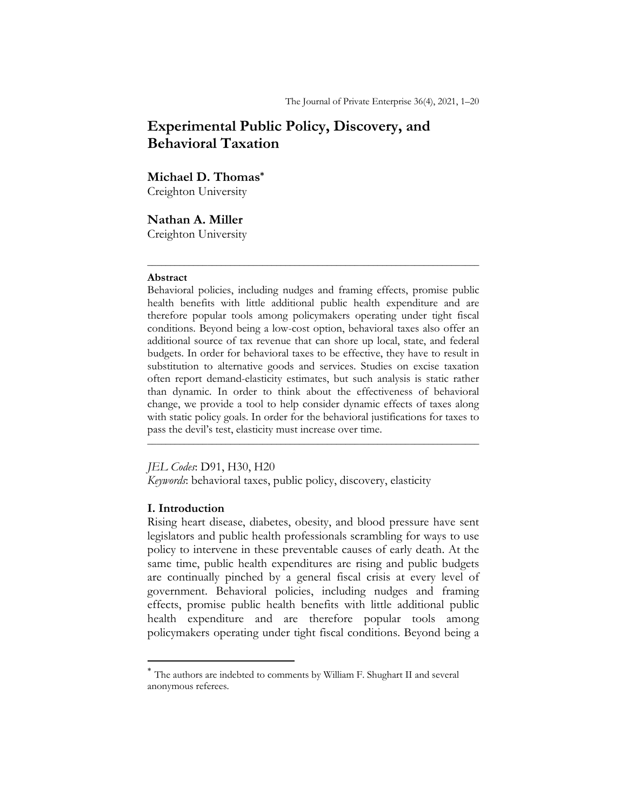# **Experimental Public Policy, Discovery, and Behavioral Taxation**

## **Michael D. Thomas\***

Creighton University

**Nathan A. Miller** Creighton University

#### **Abstract**

Behavioral policies, including nudges and framing effects, promise public health benefits with little additional public health expenditure and are therefore popular tools among policymakers operating under tight fiscal conditions. Beyond being a low-cost option, behavioral taxes also offer an additional source of tax revenue that can shore up local, state, and federal budgets. In order for behavioral taxes to be effective, they have to result in substitution to alternative goods and services. Studies on excise taxation often report demand-elasticity estimates, but such analysis is static rather than dynamic. In order to think about the effectiveness of behavioral change, we provide a tool to help consider dynamic effects of taxes along with static policy goals. In order for the behavioral justifications for taxes to pass the devil's test, elasticity must increase over time. \_\_\_\_\_\_\_\_\_\_\_\_\_\_\_\_\_\_\_\_\_\_\_\_\_\_\_\_\_\_\_\_\_\_\_\_\_\_\_\_\_\_\_\_\_\_\_\_\_\_\_\_\_\_\_\_\_\_\_\_\_\_\_\_\_\_\_\_\_\_\_\_

 $\mathcal{L}_\mathcal{L}$  , and the set of the set of the set of the set of the set of the set of the set of the set of the set of the set of the set of the set of the set of the set of the set of the set of the set of the set of th

#### *JEL Codes*: D91, H30, H20

*Keywords*: behavioral taxes, public policy, discovery, elasticity

## **I. Introduction**

Rising heart disease, diabetes, obesity, and blood pressure have sent legislators and public health professionals scrambling for ways to use policy to intervene in these preventable causes of early death. At the same time, public health expenditures are rising and public budgets are continually pinched by a general fiscal crisis at every level of government. Behavioral policies, including nudges and framing effects, promise public health benefits with little additional public health expenditure and are therefore popular tools among policymakers operating under tight fiscal conditions. Beyond being a

<sup>\*</sup> The authors are indebted to comments by William F. Shughart II and several anonymous referees.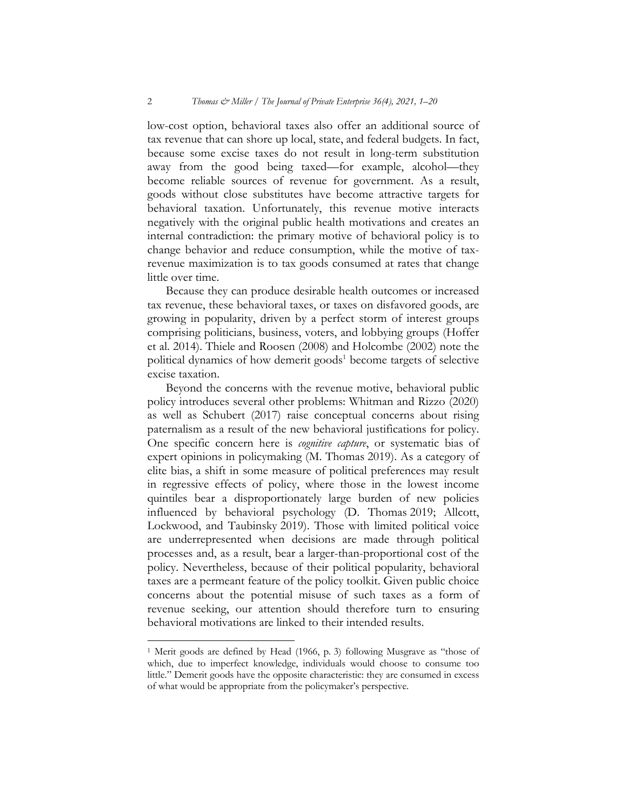low-cost option, behavioral taxes also offer an additional source of tax revenue that can shore up local, state, and federal budgets. In fact, because some excise taxes do not result in long-term substitution away from the good being taxed—for example, alcohol—they become reliable sources of revenue for government. As a result, goods without close substitutes have become attractive targets for behavioral taxation. Unfortunately, this revenue motive interacts negatively with the original public health motivations and creates an internal contradiction: the primary motive of behavioral policy is to change behavior and reduce consumption, while the motive of taxrevenue maximization is to tax goods consumed at rates that change little over time.

Because they can produce desirable health outcomes or increased tax revenue, these behavioral taxes, or taxes on disfavored goods, are growing in popularity, driven by a perfect storm of interest groups comprising politicians, business, voters, and lobbying groups (Hoffer et al. 2014). Thiele and Roosen (2008) and Holcombe (2002) note the political dynamics of how demerit goods<sup>1</sup> become targets of selective excise taxation.

Beyond the concerns with the revenue motive, behavioral public policy introduces several other problems: Whitman and Rizzo (2020) as well as Schubert (2017) raise conceptual concerns about rising paternalism as a result of the new behavioral justifications for policy. One specific concern here is *cognitive capture*, or systematic bias of expert opinions in policymaking (M. Thomas 2019). As a category of elite bias, a shift in some measure of political preferences may result in regressive effects of policy, where those in the lowest income quintiles bear a disproportionately large burden of new policies influenced by behavioral psychology (D. Thomas 2019; Allcott, Lockwood, and Taubinsky 2019). Those with limited political voice are underrepresented when decisions are made through political processes and, as a result, bear a larger-than-proportional cost of the policy. Nevertheless, because of their political popularity, behavioral taxes are a permeant feature of the policy toolkit. Given public choice concerns about the potential misuse of such taxes as a form of revenue seeking, our attention should therefore turn to ensuring behavioral motivations are linked to their intended results.

<sup>1</sup> Merit goods are defined by Head (1966, p. 3) following Musgrave as "those of which, due to imperfect knowledge, individuals would choose to consume too little." Demerit goods have the opposite characteristic: they are consumed in excess of what would be appropriate from the policymaker's perspective.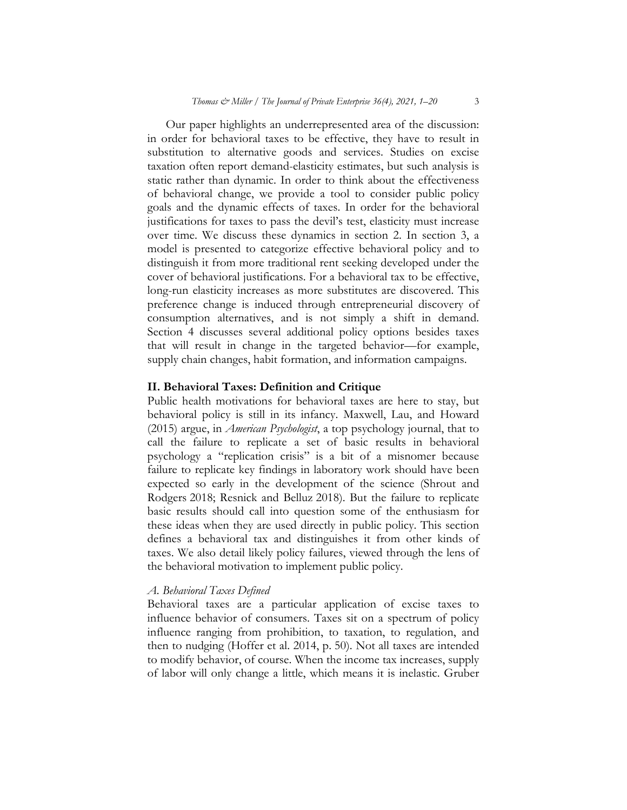Our paper highlights an underrepresented area of the discussion: in order for behavioral taxes to be effective, they have to result in substitution to alternative goods and services. Studies on excise taxation often report demand-elasticity estimates, but such analysis is static rather than dynamic. In order to think about the effectiveness of behavioral change, we provide a tool to consider public policy goals and the dynamic effects of taxes. In order for the behavioral justifications for taxes to pass the devil's test, elasticity must increase over time. We discuss these dynamics in section 2. In section 3, a model is presented to categorize effective behavioral policy and to distinguish it from more traditional rent seeking developed under the cover of behavioral justifications. For a behavioral tax to be effective, long-run elasticity increases as more substitutes are discovered. This preference change is induced through entrepreneurial discovery of consumption alternatives, and is not simply a shift in demand. Section 4 discusses several additional policy options besides taxes that will result in change in the targeted behavior—for example, supply chain changes, habit formation, and information campaigns.

## **II. Behavioral Taxes: Definition and Critique**

Public health motivations for behavioral taxes are here to stay, but behavioral policy is still in its infancy. Maxwell, Lau, and Howard (2015) argue, in *American Psychologist*, a top psychology journal, that to call the failure to replicate a set of basic results in behavioral psychology a "replication crisis" is a bit of a misnomer because failure to replicate key findings in laboratory work should have been expected so early in the development of the science (Shrout and Rodgers 2018; Resnick and Belluz 2018). But the failure to replicate basic results should call into question some of the enthusiasm for these ideas when they are used directly in public policy. This section defines a behavioral tax and distinguishes it from other kinds of taxes. We also detail likely policy failures, viewed through the lens of the behavioral motivation to implement public policy.

## *A. Behavioral Taxes Defined*

Behavioral taxes are a particular application of excise taxes to influence behavior of consumers. Taxes sit on a spectrum of policy influence ranging from prohibition, to taxation, to regulation, and then to nudging (Hoffer et al. 2014, p. 50). Not all taxes are intended to modify behavior, of course. When the income tax increases, supply of labor will only change a little, which means it is inelastic. Gruber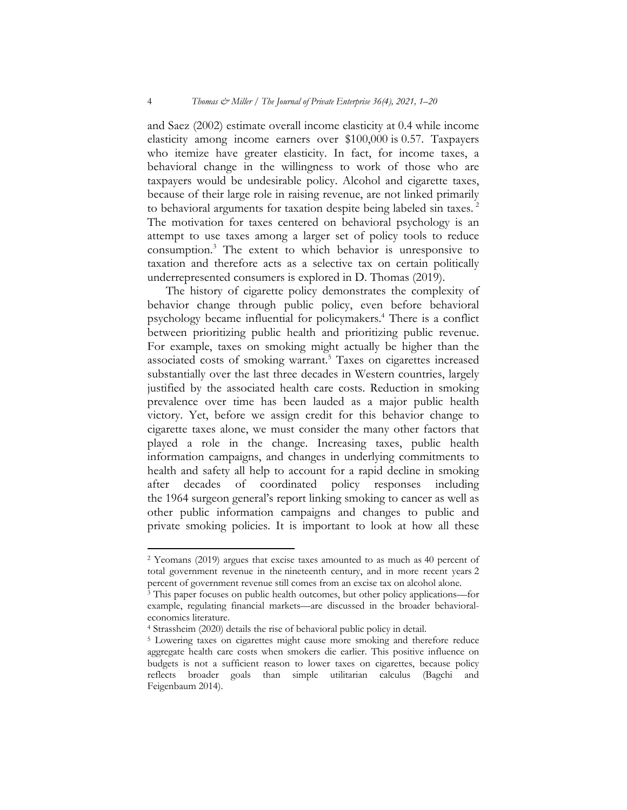and Saez (2002) estimate overall income elasticity at 0.4 while income elasticity among income earners over \$100,000 is 0.57. Taxpayers who itemize have greater elasticity. In fact, for income taxes, a behavioral change in the willingness to work of those who are taxpayers would be undesirable policy. Alcohol and cigarette taxes, because of their large role in raising revenue, are not linked primarily to behavioral arguments for taxation despite being labeled sin taxes.<sup>2</sup> The motivation for taxes centered on behavioral psychology is an attempt to use taxes among a larger set of policy tools to reduce consumption.3 The extent to which behavior is unresponsive to taxation and therefore acts as a selective tax on certain politically underrepresented consumers is explored in D. Thomas (2019).

The history of cigarette policy demonstrates the complexity of behavior change through public policy, even before behavioral psychology became influential for policymakers.4 There is a conflict between prioritizing public health and prioritizing public revenue. For example, taxes on smoking might actually be higher than the associated costs of smoking warrant.5 Taxes on cigarettes increased substantially over the last three decades in Western countries, largely justified by the associated health care costs. Reduction in smoking prevalence over time has been lauded as a major public health victory. Yet, before we assign credit for this behavior change to cigarette taxes alone, we must consider the many other factors that played a role in the change. Increasing taxes, public health information campaigns, and changes in underlying commitments to health and safety all help to account for a rapid decline in smoking after decades of coordinated policy responses including the 1964 surgeon general's report linking smoking to cancer as well as other public information campaigns and changes to public and private smoking policies. It is important to look at how all these

<sup>2</sup> Yeomans (2019) argues that excise taxes amounted to as much as 40 percent of total government revenue in the nineteenth century, and in more recent years 2 percent of government revenue still comes from an excise tax on alcohol alone.

<sup>&</sup>lt;sup>3</sup> This paper focuses on public health outcomes, but other policy applications—for example, regulating financial markets—are discussed in the broader behavioraleconomics literature.

<sup>4</sup> Strassheim (2020) details the rise of behavioral public policy in detail.

<sup>5</sup> Lowering taxes on cigarettes might cause more smoking and therefore reduce aggregate health care costs when smokers die earlier. This positive influence on budgets is not a sufficient reason to lower taxes on cigarettes, because policy reflects broader goals than simple utilitarian calculus (Bagchi and Feigenbaum 2014).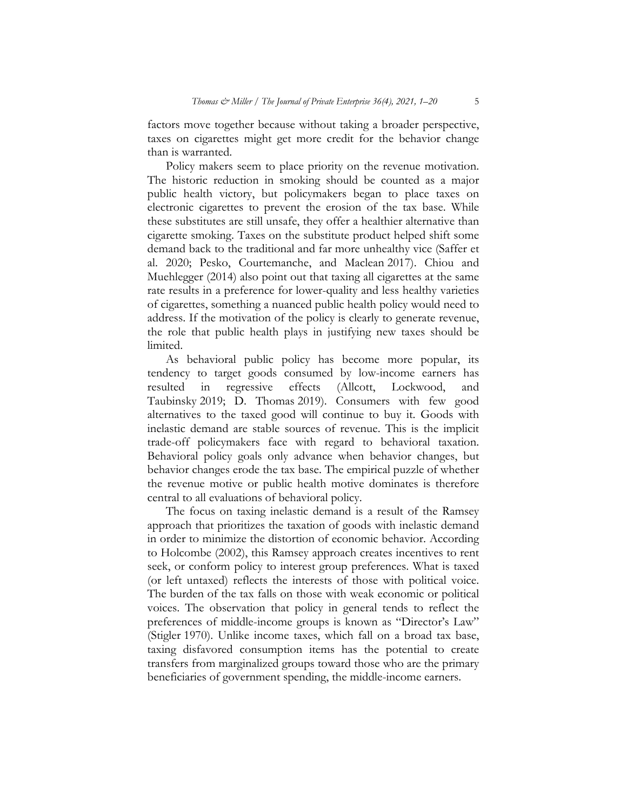factors move together because without taking a broader perspective, taxes on cigarettes might get more credit for the behavior change than is warranted.

Policy makers seem to place priority on the revenue motivation. The historic reduction in smoking should be counted as a major public health victory, but policymakers began to place taxes on electronic cigarettes to prevent the erosion of the tax base. While these substitutes are still unsafe, they offer a healthier alternative than cigarette smoking. Taxes on the substitute product helped shift some demand back to the traditional and far more unhealthy vice (Saffer et al. 2020; Pesko, Courtemanche, and Maclean 2017). Chiou and Muehlegger (2014) also point out that taxing all cigarettes at the same rate results in a preference for lower-quality and less healthy varieties of cigarettes, something a nuanced public health policy would need to address. If the motivation of the policy is clearly to generate revenue, the role that public health plays in justifying new taxes should be limited.

As behavioral public policy has become more popular, its tendency to target goods consumed by low-income earners has resulted in regressive effects (Allcott, Lockwood, and Taubinsky 2019; D. Thomas 2019). Consumers with few good alternatives to the taxed good will continue to buy it. Goods with inelastic demand are stable sources of revenue. This is the implicit trade-off policymakers face with regard to behavioral taxation. Behavioral policy goals only advance when behavior changes, but behavior changes erode the tax base. The empirical puzzle of whether the revenue motive or public health motive dominates is therefore central to all evaluations of behavioral policy.

The focus on taxing inelastic demand is a result of the Ramsey approach that prioritizes the taxation of goods with inelastic demand in order to minimize the distortion of economic behavior. According to Holcombe (2002), this Ramsey approach creates incentives to rent seek, or conform policy to interest group preferences. What is taxed (or left untaxed) reflects the interests of those with political voice. The burden of the tax falls on those with weak economic or political voices. The observation that policy in general tends to reflect the preferences of middle-income groups is known as "Director's Law" (Stigler 1970). Unlike income taxes, which fall on a broad tax base, taxing disfavored consumption items has the potential to create transfers from marginalized groups toward those who are the primary beneficiaries of government spending, the middle-income earners.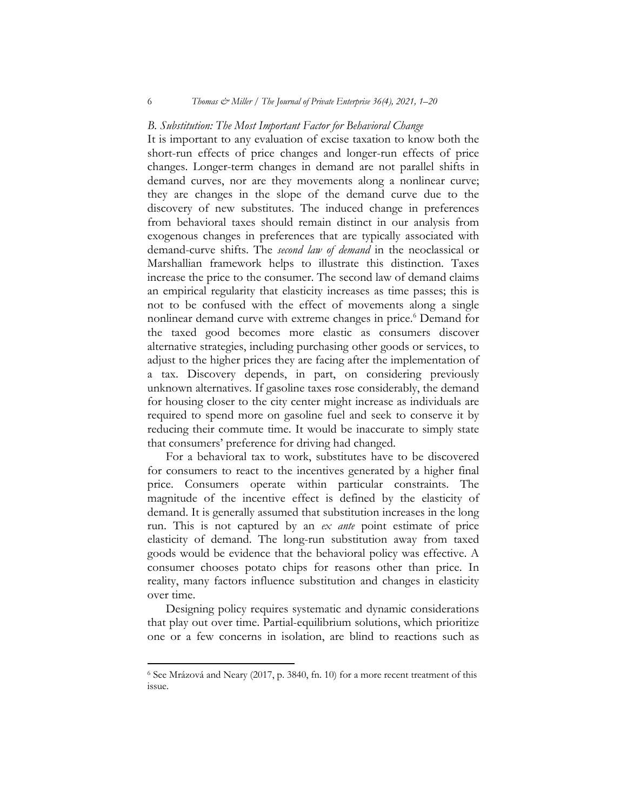#### *B. Substitution: The Most Important Factor for Behavioral Change*

It is important to any evaluation of excise taxation to know both the short-run effects of price changes and longer-run effects of price changes. Longer-term changes in demand are not parallel shifts in demand curves, nor are they movements along a nonlinear curve; they are changes in the slope of the demand curve due to the discovery of new substitutes. The induced change in preferences from behavioral taxes should remain distinct in our analysis from exogenous changes in preferences that are typically associated with demand-curve shifts. The *second law of demand* in the neoclassical or Marshallian framework helps to illustrate this distinction. Taxes increase the price to the consumer. The second law of demand claims an empirical regularity that elasticity increases as time passes; this is not to be confused with the effect of movements along a single nonlinear demand curve with extreme changes in price.<sup>6</sup> Demand for the taxed good becomes more elastic as consumers discover alternative strategies, including purchasing other goods or services, to adjust to the higher prices they are facing after the implementation of a tax. Discovery depends, in part, on considering previously unknown alternatives. If gasoline taxes rose considerably, the demand for housing closer to the city center might increase as individuals are required to spend more on gasoline fuel and seek to conserve it by reducing their commute time. It would be inaccurate to simply state that consumers' preference for driving had changed.

For a behavioral tax to work, substitutes have to be discovered for consumers to react to the incentives generated by a higher final price. Consumers operate within particular constraints. The magnitude of the incentive effect is defined by the elasticity of demand. It is generally assumed that substitution increases in the long run. This is not captured by an *ex ante* point estimate of price elasticity of demand. The long-run substitution away from taxed goods would be evidence that the behavioral policy was effective. A consumer chooses potato chips for reasons other than price. In reality, many factors influence substitution and changes in elasticity over time.

Designing policy requires systematic and dynamic considerations that play out over time. Partial-equilibrium solutions, which prioritize one or a few concerns in isolation, are blind to reactions such as

<sup>6</sup> See Mrázová and Neary (2017, p. 3840, fn. 10) for a more recent treatment of this issue.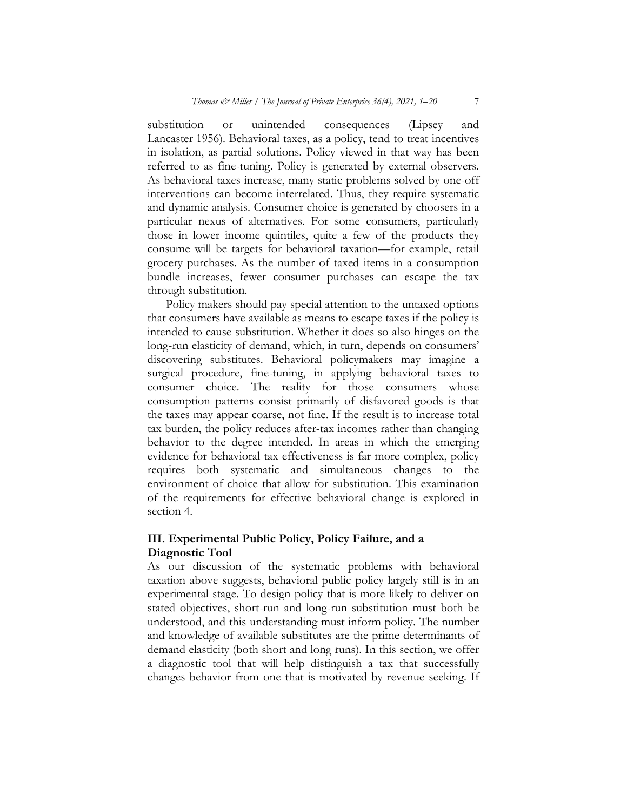substitution or unintended consequences (Lipsey and Lancaster 1956). Behavioral taxes, as a policy, tend to treat incentives in isolation, as partial solutions. Policy viewed in that way has been referred to as fine-tuning. Policy is generated by external observers. As behavioral taxes increase, many static problems solved by one-off interventions can become interrelated. Thus, they require systematic and dynamic analysis. Consumer choice is generated by choosers in a particular nexus of alternatives. For some consumers, particularly those in lower income quintiles, quite a few of the products they consume will be targets for behavioral taxation—for example, retail grocery purchases. As the number of taxed items in a consumption bundle increases, fewer consumer purchases can escape the tax through substitution.

Policy makers should pay special attention to the untaxed options that consumers have available as means to escape taxes if the policy is intended to cause substitution. Whether it does so also hinges on the long-run elasticity of demand, which, in turn, depends on consumers' discovering substitutes. Behavioral policymakers may imagine a surgical procedure, fine-tuning, in applying behavioral taxes to consumer choice. The reality for those consumers whose consumption patterns consist primarily of disfavored goods is that the taxes may appear coarse, not fine. If the result is to increase total tax burden, the policy reduces after-tax incomes rather than changing behavior to the degree intended. In areas in which the emerging evidence for behavioral tax effectiveness is far more complex, policy requires both systematic and simultaneous changes to the environment of choice that allow for substitution. This examination of the requirements for effective behavioral change is explored in section 4.

## **III. Experimental Public Policy, Policy Failure, and a Diagnostic Tool**

As our discussion of the systematic problems with behavioral taxation above suggests, behavioral public policy largely still is in an experimental stage. To design policy that is more likely to deliver on stated objectives, short-run and long-run substitution must both be understood, and this understanding must inform policy. The number and knowledge of available substitutes are the prime determinants of demand elasticity (both short and long runs). In this section, we offer a diagnostic tool that will help distinguish a tax that successfully changes behavior from one that is motivated by revenue seeking. If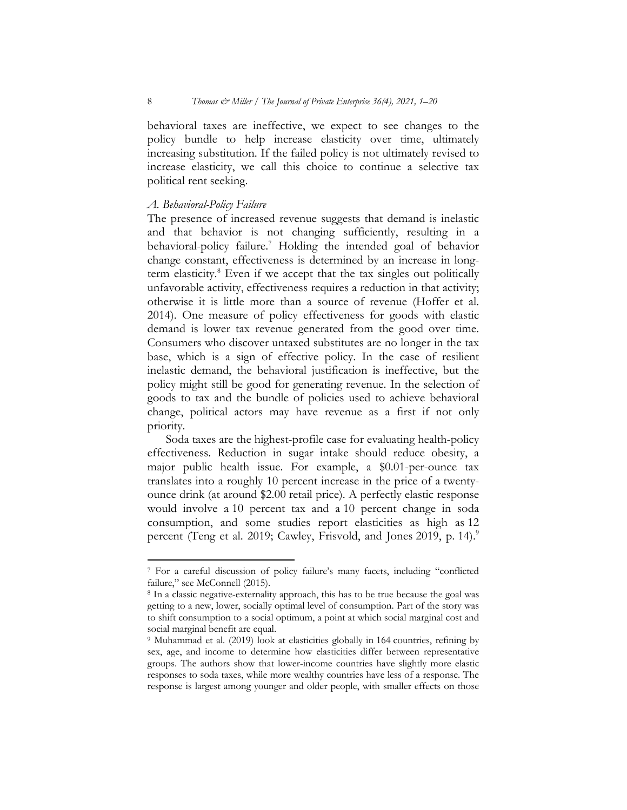behavioral taxes are ineffective, we expect to see changes to the policy bundle to help increase elasticity over time, ultimately increasing substitution. If the failed policy is not ultimately revised to increase elasticity, we call this choice to continue a selective tax political rent seeking.

#### *A. Behavioral-Policy Failure*

The presence of increased revenue suggests that demand is inelastic and that behavior is not changing sufficiently, resulting in a behavioral-policy failure.7 Holding the intended goal of behavior change constant, effectiveness is determined by an increase in longterm elasticity.8 Even if we accept that the tax singles out politically unfavorable activity, effectiveness requires a reduction in that activity; otherwise it is little more than a source of revenue (Hoffer et al. 2014). One measure of policy effectiveness for goods with elastic demand is lower tax revenue generated from the good over time. Consumers who discover untaxed substitutes are no longer in the tax base, which is a sign of effective policy. In the case of resilient inelastic demand, the behavioral justification is ineffective, but the policy might still be good for generating revenue. In the selection of goods to tax and the bundle of policies used to achieve behavioral change, political actors may have revenue as a first if not only priority.

Soda taxes are the highest-profile case for evaluating health-policy effectiveness. Reduction in sugar intake should reduce obesity, a major public health issue. For example, a \$0.01-per-ounce tax translates into a roughly 10 percent increase in the price of a twentyounce drink (at around \$2.00 retail price). A perfectly elastic response would involve a 10 percent tax and a 10 percent change in soda consumption, and some studies report elasticities as high as 12 percent (Teng et al. 2019; Cawley, Frisvold, and Jones 2019, p. 14).<sup>9</sup>

<sup>7</sup> For a careful discussion of policy failure's many facets, including "conflicted failure," see McConnell (2015).

<sup>8</sup> In a classic negative-externality approach, this has to be true because the goal was getting to a new, lower, socially optimal level of consumption. Part of the story was to shift consumption to a social optimum, a point at which social marginal cost and social marginal benefit are equal.

<sup>9</sup> Muhammad et al. (2019) look at elasticities globally in 164 countries, refining by sex, age, and income to determine how elasticities differ between representative groups. The authors show that lower-income countries have slightly more elastic responses to soda taxes, while more wealthy countries have less of a response. The response is largest among younger and older people, with smaller effects on those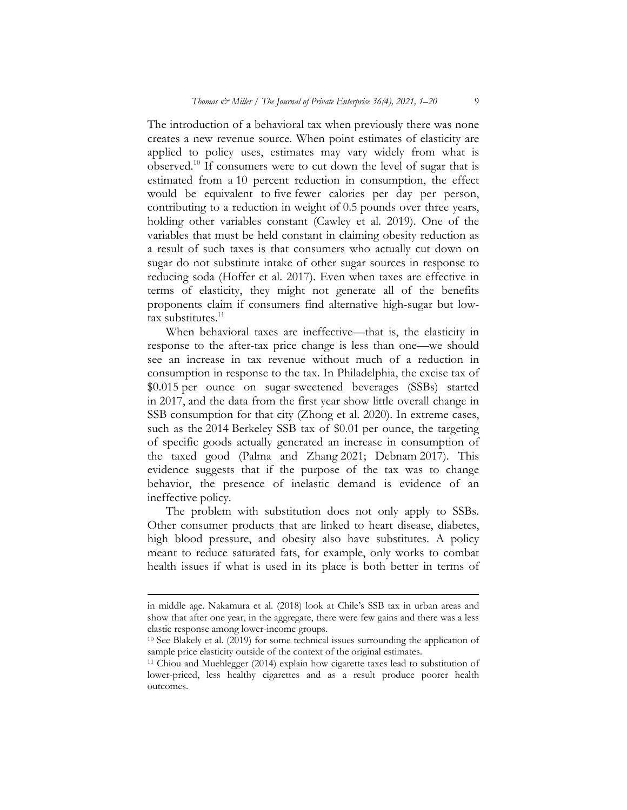The introduction of a behavioral tax when previously there was none creates a new revenue source. When point estimates of elasticity are applied to policy uses, estimates may vary widely from what is observed.10 If consumers were to cut down the level of sugar that is estimated from a 10 percent reduction in consumption, the effect would be equivalent to five fewer calories per day per person, contributing to a reduction in weight of 0.5 pounds over three years, holding other variables constant (Cawley et al. 2019). One of the variables that must be held constant in claiming obesity reduction as a result of such taxes is that consumers who actually cut down on sugar do not substitute intake of other sugar sources in response to reducing soda (Hoffer et al. 2017). Even when taxes are effective in terms of elasticity, they might not generate all of the benefits proponents claim if consumers find alternative high-sugar but low- $\frac{1}{12}$  substitutes.<sup>11</sup>

When behavioral taxes are ineffective—that is, the elasticity in response to the after-tax price change is less than one—we should see an increase in tax revenue without much of a reduction in consumption in response to the tax. In Philadelphia, the excise tax of \$0.015 per ounce on sugar-sweetened beverages (SSBs) started in 2017, and the data from the first year show little overall change in SSB consumption for that city (Zhong et al. 2020). In extreme cases, such as the 2014 Berkeley SSB tax of \$0.01 per ounce, the targeting of specific goods actually generated an increase in consumption of the taxed good (Palma and Zhang 2021; Debnam 2017). This evidence suggests that if the purpose of the tax was to change behavior, the presence of inelastic demand is evidence of an ineffective policy.

The problem with substitution does not only apply to SSBs. Other consumer products that are linked to heart disease, diabetes, high blood pressure, and obesity also have substitutes. A policy meant to reduce saturated fats, for example, only works to combat health issues if what is used in its place is both better in terms of

in middle age. Nakamura et al. (2018) look at Chile's SSB tax in urban areas and show that after one year, in the aggregate, there were few gains and there was a less elastic response among lower-income groups.

<sup>10</sup> See Blakely et al. (2019) for some technical issues surrounding the application of sample price elasticity outside of the context of the original estimates.

<sup>11</sup> Chiou and Muehlegger (2014) explain how cigarette taxes lead to substitution of lower-priced, less healthy cigarettes and as a result produce poorer health outcomes.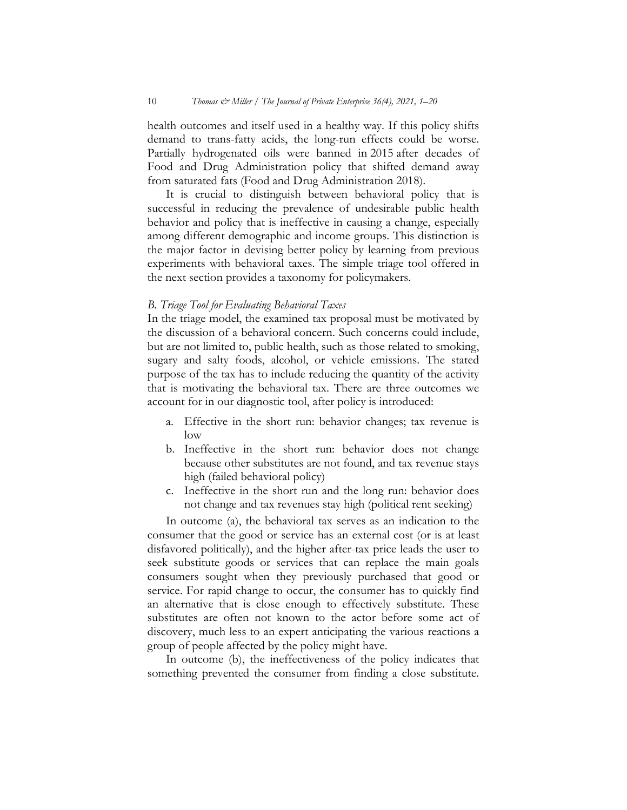10 *Thomas & Miller / The Journal of Private Enterprise 36(4), 2021, 1–20*

health outcomes and itself used in a healthy way. If this policy shifts demand to trans-fatty acids, the long-run effects could be worse. Partially hydrogenated oils were banned in 2015 after decades of Food and Drug Administration policy that shifted demand away from saturated fats (Food and Drug Administration 2018).

It is crucial to distinguish between behavioral policy that is successful in reducing the prevalence of undesirable public health behavior and policy that is ineffective in causing a change, especially among different demographic and income groups. This distinction is the major factor in devising better policy by learning from previous experiments with behavioral taxes. The simple triage tool offered in the next section provides a taxonomy for policymakers.

#### *B. Triage Tool for Evaluating Behavioral Taxes*

In the triage model, the examined tax proposal must be motivated by the discussion of a behavioral concern. Such concerns could include, but are not limited to, public health, such as those related to smoking, sugary and salty foods, alcohol, or vehicle emissions. The stated purpose of the tax has to include reducing the quantity of the activity that is motivating the behavioral tax. There are three outcomes we account for in our diagnostic tool, after policy is introduced:

- a. Effective in the short run: behavior changes; tax revenue is low
- b. Ineffective in the short run: behavior does not change because other substitutes are not found, and tax revenue stays high (failed behavioral policy)
- c. Ineffective in the short run and the long run: behavior does not change and tax revenues stay high (political rent seeking)

In outcome (a), the behavioral tax serves as an indication to the consumer that the good or service has an external cost (or is at least disfavored politically), and the higher after-tax price leads the user to seek substitute goods or services that can replace the main goals consumers sought when they previously purchased that good or service. For rapid change to occur, the consumer has to quickly find an alternative that is close enough to effectively substitute. These substitutes are often not known to the actor before some act of discovery, much less to an expert anticipating the various reactions a group of people affected by the policy might have.

In outcome (b), the ineffectiveness of the policy indicates that something prevented the consumer from finding a close substitute.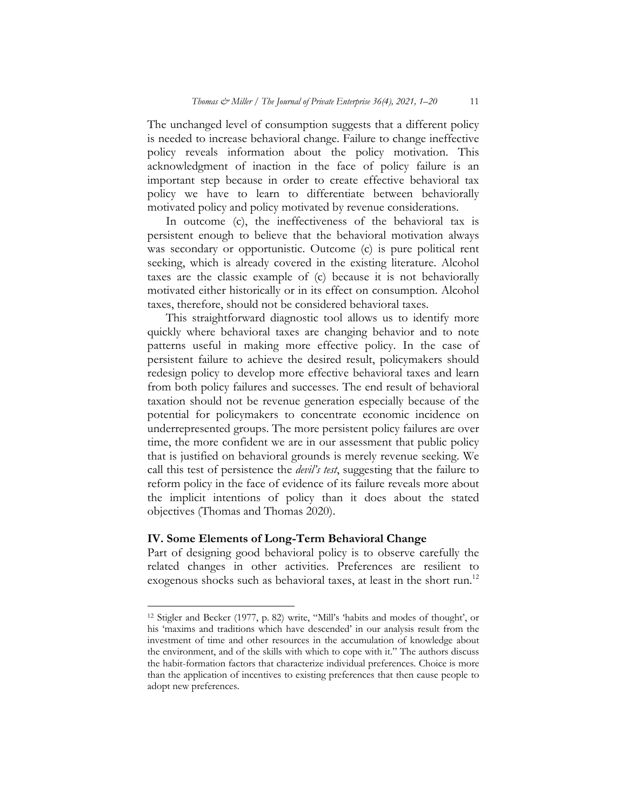The unchanged level of consumption suggests that a different policy is needed to increase behavioral change. Failure to change ineffective policy reveals information about the policy motivation. This acknowledgment of inaction in the face of policy failure is an important step because in order to create effective behavioral tax policy we have to learn to differentiate between behaviorally motivated policy and policy motivated by revenue considerations.

In outcome (c), the ineffectiveness of the behavioral tax is persistent enough to believe that the behavioral motivation always was secondary or opportunistic. Outcome (c) is pure political rent seeking, which is already covered in the existing literature. Alcohol taxes are the classic example of (c) because it is not behaviorally motivated either historically or in its effect on consumption. Alcohol taxes, therefore, should not be considered behavioral taxes.

This straightforward diagnostic tool allows us to identify more quickly where behavioral taxes are changing behavior and to note patterns useful in making more effective policy. In the case of persistent failure to achieve the desired result, policymakers should redesign policy to develop more effective behavioral taxes and learn from both policy failures and successes. The end result of behavioral taxation should not be revenue generation especially because of the potential for policymakers to concentrate economic incidence on underrepresented groups. The more persistent policy failures are over time, the more confident we are in our assessment that public policy that is justified on behavioral grounds is merely revenue seeking. We call this test of persistence the *devil's test*, suggesting that the failure to reform policy in the face of evidence of its failure reveals more about the implicit intentions of policy than it does about the stated objectives (Thomas and Thomas 2020).

## **IV. Some Elements of Long-Term Behavioral Change**

Part of designing good behavioral policy is to observe carefully the related changes in other activities. Preferences are resilient to exogenous shocks such as behavioral taxes, at least in the short run.<sup>12</sup>

<sup>12</sup> Stigler and Becker (1977, p. 82) write, "Mill's 'habits and modes of thought', or his 'maxims and traditions which have descended' in our analysis result from the investment of time and other resources in the accumulation of knowledge about the environment, and of the skills with which to cope with it." The authors discuss the habit-formation factors that characterize individual preferences. Choice is more than the application of incentives to existing preferences that then cause people to adopt new preferences.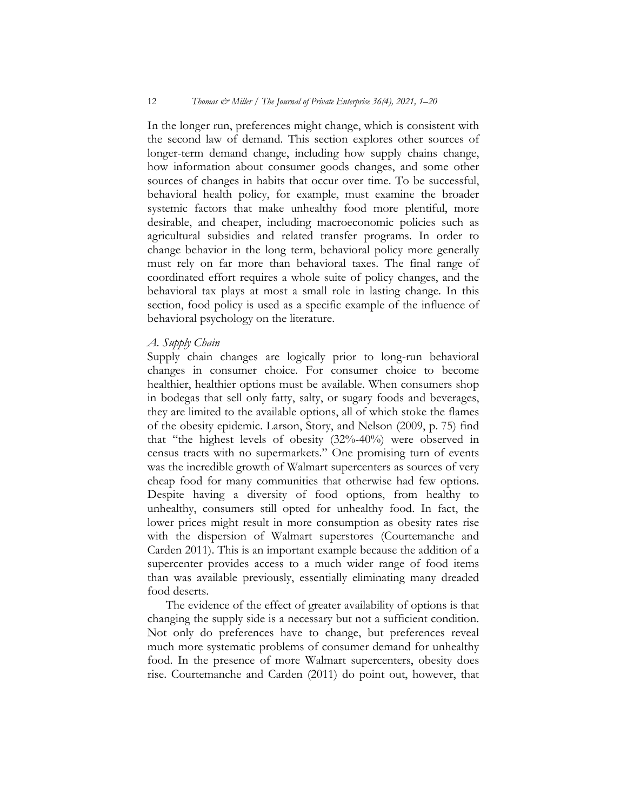In the longer run, preferences might change, which is consistent with the second law of demand. This section explores other sources of longer-term demand change, including how supply chains change, how information about consumer goods changes, and some other sources of changes in habits that occur over time. To be successful, behavioral health policy, for example, must examine the broader systemic factors that make unhealthy food more plentiful, more desirable, and cheaper, including macroeconomic policies such as agricultural subsidies and related transfer programs. In order to change behavior in the long term, behavioral policy more generally must rely on far more than behavioral taxes. The final range of coordinated effort requires a whole suite of policy changes, and the behavioral tax plays at most a small role in lasting change. In this section, food policy is used as a specific example of the influence of behavioral psychology on the literature.

#### *A. Supply Chain*

Supply chain changes are logically prior to long-run behavioral changes in consumer choice. For consumer choice to become healthier, healthier options must be available. When consumers shop in bodegas that sell only fatty, salty, or sugary foods and beverages, they are limited to the available options, all of which stoke the flames of the obesity epidemic. Larson, Story, and Nelson (2009, p. 75) find that "the highest levels of obesity (32%-40%) were observed in census tracts with no supermarkets." One promising turn of events was the incredible growth of Walmart supercenters as sources of very cheap food for many communities that otherwise had few options. Despite having a diversity of food options, from healthy to unhealthy, consumers still opted for unhealthy food. In fact, the lower prices might result in more consumption as obesity rates rise with the dispersion of Walmart superstores (Courtemanche and Carden 2011). This is an important example because the addition of a supercenter provides access to a much wider range of food items than was available previously, essentially eliminating many dreaded food deserts.

The evidence of the effect of greater availability of options is that changing the supply side is a necessary but not a sufficient condition. Not only do preferences have to change, but preferences reveal much more systematic problems of consumer demand for unhealthy food. In the presence of more Walmart supercenters, obesity does rise. Courtemanche and Carden (2011) do point out, however, that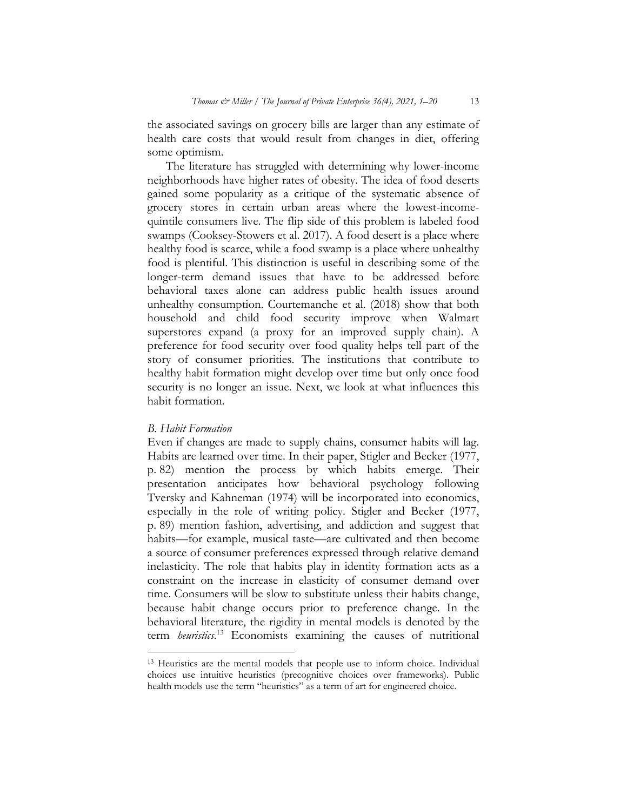the associated savings on grocery bills are larger than any estimate of health care costs that would result from changes in diet, offering some optimism.

The literature has struggled with determining why lower-income neighborhoods have higher rates of obesity. The idea of food deserts gained some popularity as a critique of the systematic absence of grocery stores in certain urban areas where the lowest-incomequintile consumers live. The flip side of this problem is labeled food swamps (Cooksey-Stowers et al. 2017). A food desert is a place where healthy food is scarce, while a food swamp is a place where unhealthy food is plentiful. This distinction is useful in describing some of the longer-term demand issues that have to be addressed before behavioral taxes alone can address public health issues around unhealthy consumption. Courtemanche et al. (2018) show that both household and child food security improve when Walmart superstores expand (a proxy for an improved supply chain). A preference for food security over food quality helps tell part of the story of consumer priorities. The institutions that contribute to healthy habit formation might develop over time but only once food security is no longer an issue. Next, we look at what influences this habit formation.

#### *B. Habit Formation*

Even if changes are made to supply chains, consumer habits will lag. Habits are learned over time. In their paper, Stigler and Becker (1977, p. 82) mention the process by which habits emerge. Their presentation anticipates how behavioral psychology following Tversky and Kahneman (1974) will be incorporated into economics, especially in the role of writing policy. Stigler and Becker (1977, p. 89) mention fashion, advertising, and addiction and suggest that habits—for example, musical taste—are cultivated and then become a source of consumer preferences expressed through relative demand inelasticity. The role that habits play in identity formation acts as a constraint on the increase in elasticity of consumer demand over time. Consumers will be slow to substitute unless their habits change, because habit change occurs prior to preference change. In the behavioral literature, the rigidity in mental models is denoted by the term *heuristics*. <sup>13</sup> Economists examining the causes of nutritional

<sup>13</sup> Heuristics are the mental models that people use to inform choice. Individual choices use intuitive heuristics (precognitive choices over frameworks). Public health models use the term "heuristics" as a term of art for engineered choice.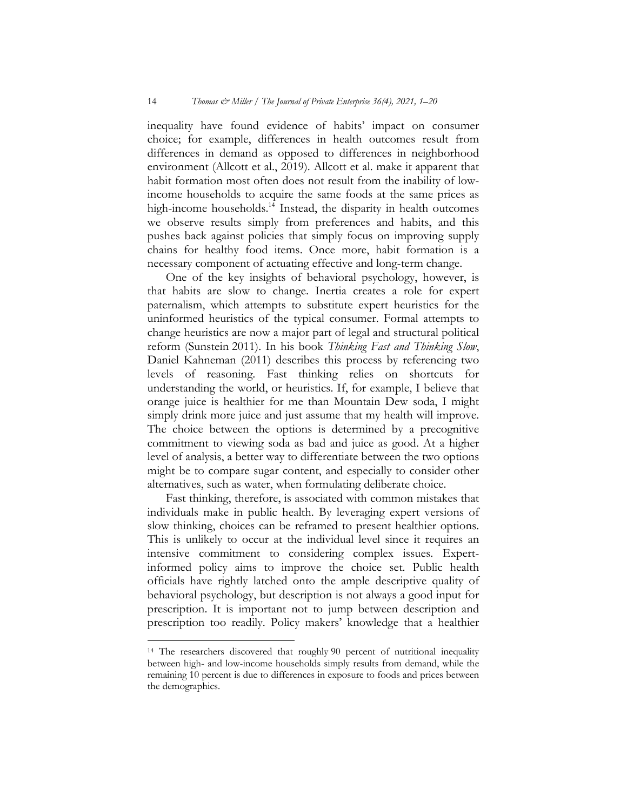inequality have found evidence of habits' impact on consumer choice; for example, differences in health outcomes result from differences in demand as opposed to differences in neighborhood environment (Allcott et al., 2019). Allcott et al. make it apparent that habit formation most often does not result from the inability of lowincome households to acquire the same foods at the same prices as high-income households.<sup>14</sup> Instead, the disparity in health outcomes we observe results simply from preferences and habits, and this pushes back against policies that simply focus on improving supply chains for healthy food items. Once more, habit formation is a necessary component of actuating effective and long-term change.

One of the key insights of behavioral psychology, however, is that habits are slow to change. Inertia creates a role for expert paternalism, which attempts to substitute expert heuristics for the uninformed heuristics of the typical consumer. Formal attempts to change heuristics are now a major part of legal and structural political reform (Sunstein 2011). In his book *Thinking Fast and Thinking Slow*, Daniel Kahneman (2011) describes this process by referencing two levels of reasoning. Fast thinking relies on shortcuts for understanding the world, or heuristics. If, for example, I believe that orange juice is healthier for me than Mountain Dew soda, I might simply drink more juice and just assume that my health will improve. The choice between the options is determined by a precognitive commitment to viewing soda as bad and juice as good. At a higher level of analysis, a better way to differentiate between the two options might be to compare sugar content, and especially to consider other alternatives, such as water, when formulating deliberate choice.

Fast thinking, therefore, is associated with common mistakes that individuals make in public health. By leveraging expert versions of slow thinking, choices can be reframed to present healthier options. This is unlikely to occur at the individual level since it requires an intensive commitment to considering complex issues. Expertinformed policy aims to improve the choice set. Public health officials have rightly latched onto the ample descriptive quality of behavioral psychology, but description is not always a good input for prescription. It is important not to jump between description and prescription too readily. Policy makers' knowledge that a healthier

<sup>14</sup> The researchers discovered that roughly 90 percent of nutritional inequality between high- and low-income households simply results from demand, while the remaining 10 percent is due to differences in exposure to foods and prices between the demographics.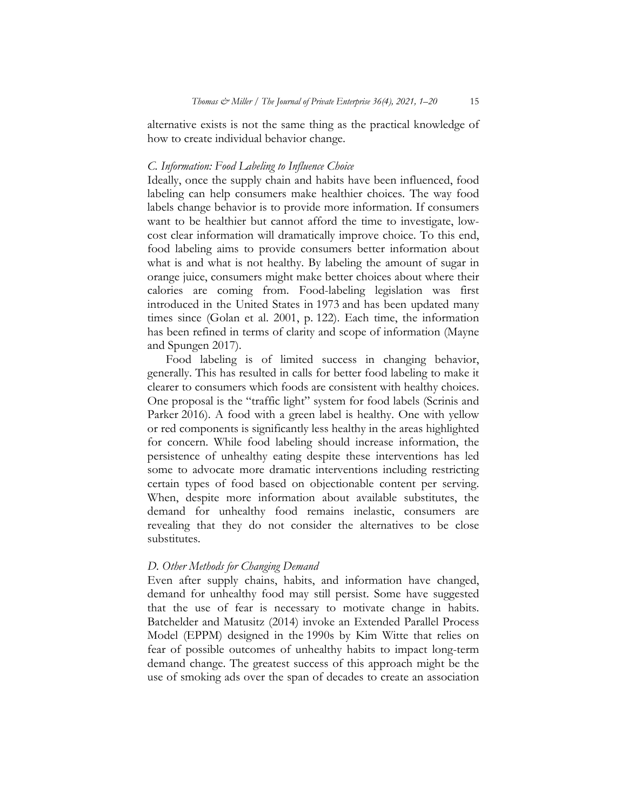alternative exists is not the same thing as the practical knowledge of how to create individual behavior change.

#### *C. Information: Food Labeling to Influence Choice*

Ideally, once the supply chain and habits have been influenced, food labeling can help consumers make healthier choices. The way food labels change behavior is to provide more information. If consumers want to be healthier but cannot afford the time to investigate, lowcost clear information will dramatically improve choice. To this end, food labeling aims to provide consumers better information about what is and what is not healthy. By labeling the amount of sugar in orange juice, consumers might make better choices about where their calories are coming from. Food-labeling legislation was first introduced in the United States in 1973 and has been updated many times since (Golan et al. 2001, p. 122). Each time, the information has been refined in terms of clarity and scope of information (Mayne and Spungen 2017).

Food labeling is of limited success in changing behavior, generally. This has resulted in calls for better food labeling to make it clearer to consumers which foods are consistent with healthy choices. One proposal is the "traffic light" system for food labels (Scrinis and Parker 2016). A food with a green label is healthy. One with yellow or red components is significantly less healthy in the areas highlighted for concern. While food labeling should increase information, the persistence of unhealthy eating despite these interventions has led some to advocate more dramatic interventions including restricting certain types of food based on objectionable content per serving. When, despite more information about available substitutes, the demand for unhealthy food remains inelastic, consumers are revealing that they do not consider the alternatives to be close substitutes.

#### *D. Other Methods for Changing Demand*

Even after supply chains, habits, and information have changed, demand for unhealthy food may still persist. Some have suggested that the use of fear is necessary to motivate change in habits. Batchelder and Matusitz (2014) invoke an Extended Parallel Process Model (EPPM) designed in the 1990s by Kim Witte that relies on fear of possible outcomes of unhealthy habits to impact long-term demand change. The greatest success of this approach might be the use of smoking ads over the span of decades to create an association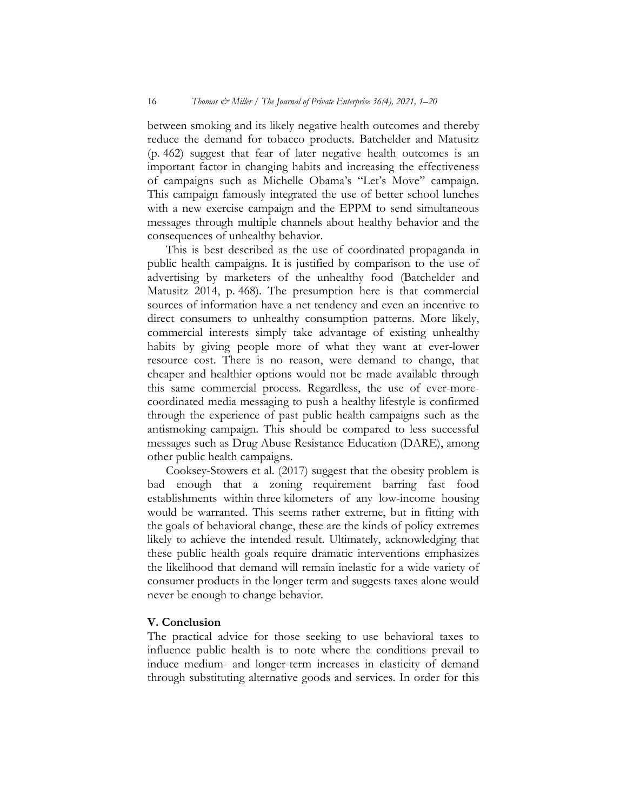between smoking and its likely negative health outcomes and thereby reduce the demand for tobacco products. Batchelder and Matusitz (p. 462) suggest that fear of later negative health outcomes is an important factor in changing habits and increasing the effectiveness of campaigns such as Michelle Obama's "Let's Move" campaign. This campaign famously integrated the use of better school lunches with a new exercise campaign and the EPPM to send simultaneous messages through multiple channels about healthy behavior and the consequences of unhealthy behavior.

This is best described as the use of coordinated propaganda in public health campaigns. It is justified by comparison to the use of advertising by marketers of the unhealthy food (Batchelder and Matusitz 2014, p. 468). The presumption here is that commercial sources of information have a net tendency and even an incentive to direct consumers to unhealthy consumption patterns. More likely, commercial interests simply take advantage of existing unhealthy habits by giving people more of what they want at ever-lower resource cost. There is no reason, were demand to change, that cheaper and healthier options would not be made available through this same commercial process. Regardless, the use of ever-morecoordinated media messaging to push a healthy lifestyle is confirmed through the experience of past public health campaigns such as the antismoking campaign. This should be compared to less successful messages such as Drug Abuse Resistance Education (DARE), among other public health campaigns.

Cooksey-Stowers et al. (2017) suggest that the obesity problem is bad enough that a zoning requirement barring fast food establishments within three kilometers of any low-income housing would be warranted. This seems rather extreme, but in fitting with the goals of behavioral change, these are the kinds of policy extremes likely to achieve the intended result. Ultimately, acknowledging that these public health goals require dramatic interventions emphasizes the likelihood that demand will remain inelastic for a wide variety of consumer products in the longer term and suggests taxes alone would never be enough to change behavior.

## **V. Conclusion**

The practical advice for those seeking to use behavioral taxes to influence public health is to note where the conditions prevail to induce medium- and longer-term increases in elasticity of demand through substituting alternative goods and services. In order for this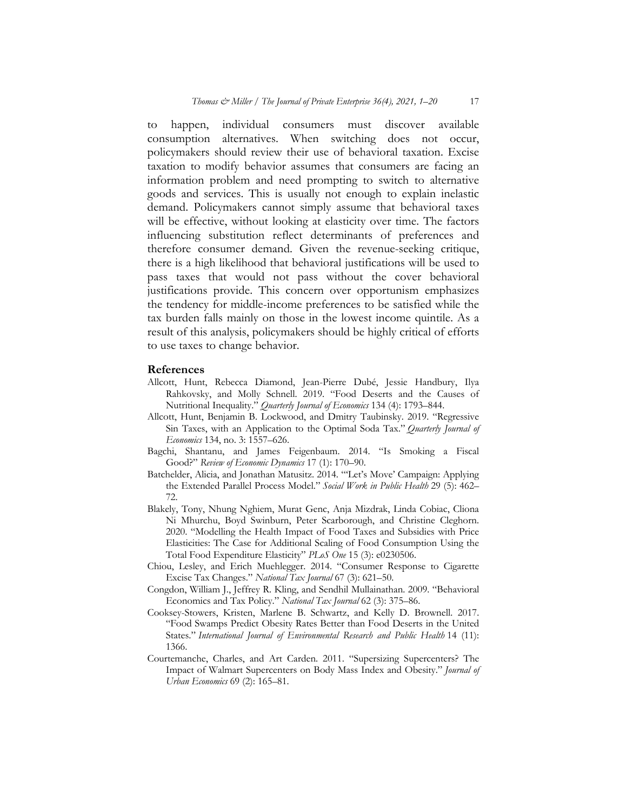to happen, individual consumers must discover available consumption alternatives. When switching does not occur, policymakers should review their use of behavioral taxation. Excise taxation to modify behavior assumes that consumers are facing an information problem and need prompting to switch to alternative goods and services. This is usually not enough to explain inelastic demand. Policymakers cannot simply assume that behavioral taxes will be effective, without looking at elasticity over time. The factors influencing substitution reflect determinants of preferences and therefore consumer demand. Given the revenue-seeking critique, there is a high likelihood that behavioral justifications will be used to pass taxes that would not pass without the cover behavioral justifications provide. This concern over opportunism emphasizes the tendency for middle-income preferences to be satisfied while the tax burden falls mainly on those in the lowest income quintile. As a result of this analysis, policymakers should be highly critical of efforts to use taxes to change behavior.

#### **References**

- Allcott, Hunt, Rebecca Diamond, Jean-Pierre Dubé, Jessie Handbury, Ilya Rahkovsky, and Molly Schnell. 2019. "Food Deserts and the Causes of Nutritional Inequality." *Quarterly Journal of Economics* 134 (4): 1793–844.
- Allcott, Hunt, Benjamin B. Lockwood, and Dmitry Taubinsky. 2019. "Regressive Sin Taxes, with an Application to the Optimal Soda Tax." *Quarterly Journal of Economics* 134, no. 3: 1557–626.
- Bagchi, Shantanu, and James Feigenbaum. 2014. "Is Smoking a Fiscal Good?" *Review of Economic Dynamics* 17 (1): 170–90.
- Batchelder, Alicia, and Jonathan Matusitz. 2014. "'Let's Move' Campaign: Applying the Extended Parallel Process Model." *Social Work in Public Health* 29 (5): 462– 72.
- Blakely, Tony, Nhung Nghiem, Murat Genc, Anja Mizdrak, Linda Cobiac, Cliona Ni Mhurchu, Boyd Swinburn, Peter Scarborough, and Christine Cleghorn. 2020. "Modelling the Health Impact of Food Taxes and Subsidies with Price Elasticities: The Case for Additional Scaling of Food Consumption Using the Total Food Expenditure Elasticity" *PLoS One* 15 (3): e0230506.
- Chiou, Lesley, and Erich Muehlegger. 2014. "Consumer Response to Cigarette Excise Tax Changes." *National Tax Journal* 67 (3): 621–50.
- Congdon, William J., Jeffrey R. Kling, and Sendhil Mullainathan. 2009. "Behavioral Economics and Tax Policy." *National Tax Journal* 62 (3): 375–86.
- Cooksey-Stowers, Kristen, Marlene B. Schwartz, and Kelly D. Brownell. 2017. "Food Swamps Predict Obesity Rates Better than Food Deserts in the United States." *International Journal of Environmental Research and Public Health* 14 (11): 1366.
- Courtemanche, Charles, and Art Carden. 2011. "Supersizing Supercenters? The Impact of Walmart Supercenters on Body Mass Index and Obesity." *Journal of Urban Economics* 69 (2): 165–81.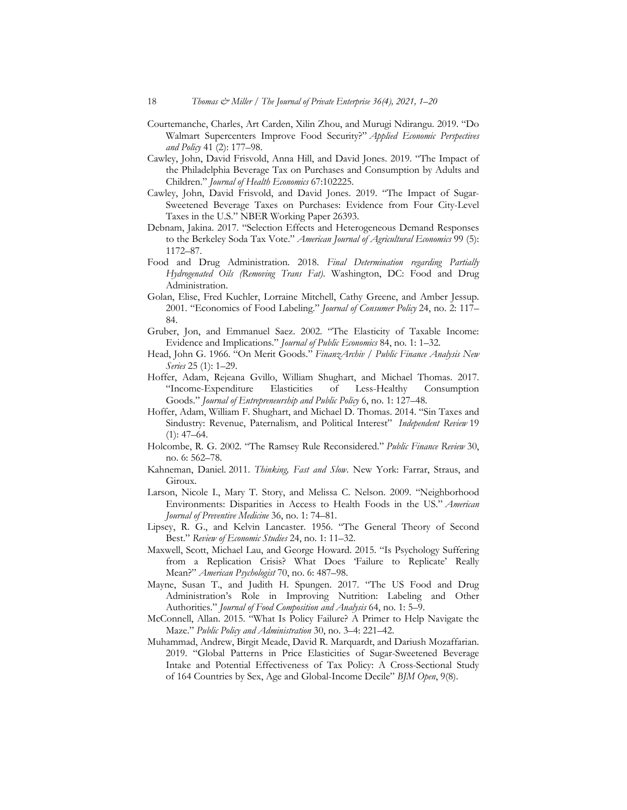- Courtemanche, Charles, Art Carden, Xilin Zhou, and Murugi Ndirangu. 2019. "Do Walmart Supercenters Improve Food Security?" *Applied Economic Perspectives and Policy* 41 (2): 177–98.
- Cawley, John, David Frisvold, Anna Hill, and David Jones. 2019. "The Impact of the Philadelphia Beverage Tax on Purchases and Consumption by Adults and Children." *Journal of Health Economics* 67:102225.
- Cawley, John, David Frisvold, and David Jones. 2019. "The Impact of Sugar-Sweetened Beverage Taxes on Purchases: Evidence from Four City-Level Taxes in the U.S." NBER Working Paper 26393.
- Debnam, Jakina. 2017. "Selection Effects and Heterogeneous Demand Responses to the Berkeley Soda Tax Vote." *American Journal of Agricultural Economics* 99 (5): 1172–87.
- Food and Drug Administration. 2018. *Final Determination regarding Partially Hydrogenated Oils (Removing Trans Fat)*. Washington, DC: Food and Drug Administration.
- Golan, Elise, Fred Kuchler, Lorraine Mitchell, Cathy Greene, and Amber Jessup. 2001. "Economics of Food Labeling." *Journal of Consumer Policy* 24, no. 2: 117– 84.
- Gruber, Jon, and Emmanuel Saez. 2002. "The Elasticity of Taxable Income: Evidence and Implications." *Journal of Public Economics* 84, no. 1: 1–32.
- Head, John G. 1966. "On Merit Goods." *FinanzArchiv / Public Finance Analysis New Series* 25 (1): 1–29.
- Hoffer, Adam, Rejeana Gvillo, William Shughart, and Michael Thomas. 2017. "Income-Expenditure Elasticities of Less-Healthy Consumption Goods." *Journal of Entrepreneurship and Public Policy* 6, no. 1: 127–48.
- Hoffer, Adam, William F. Shughart, and Michael D. Thomas. 2014. "Sin Taxes and Sindustry: Revenue, Paternalism, and Political Interest" *Independent Review* 19  $(1): 47 - 64.$
- Holcombe, R. G. 2002. "The Ramsey Rule Reconsidered." *Public Finance Review* 30, no. 6: 562–78.
- Kahneman, Daniel. 2011. *Thinking, Fast and Slow*. New York: Farrar, Straus, and Giroux.
- Larson, Nicole I., Mary T. Story, and Melissa C. Nelson. 2009. "Neighborhood Environments: Disparities in Access to Health Foods in the US." *American Journal of Preventive Medicine* 36, no. 1: 74–81.
- Lipsey, R. G., and Kelvin Lancaster. 1956. "The General Theory of Second Best." *Review of Economic Studies* 24, no. 1: 11–32.
- Maxwell, Scott, Michael Lau, and George Howard. 2015. "Is Psychology Suffering from a Replication Crisis? What Does 'Failure to Replicate' Really Mean?" *American Psychologist* 70, no. 6: 487–98.
- Mayne, Susan T., and Judith H. Spungen. 2017. "The US Food and Drug Administration's Role in Improving Nutrition: Labeling and Other Authorities." *Journal of Food Composition and Analysis* 64, no. 1: 5–9.
- McConnell, Allan. 2015. "What Is Policy Failure? A Primer to Help Navigate the Maze." *Public Policy and Administration* 30, no. 3–4: 221–42.
- Muhammad, Andrew, Birgit Meade, David R. Marquardt, and Dariush Mozaffarian. 2019. "Global Patterns in Price Elasticities of Sugar-Sweetened Beverage Intake and Potential Effectiveness of Tax Policy: A Cross-Sectional Study of 164 Countries by Sex, Age and Global-Income Decile" *BJM Open*, 9(8).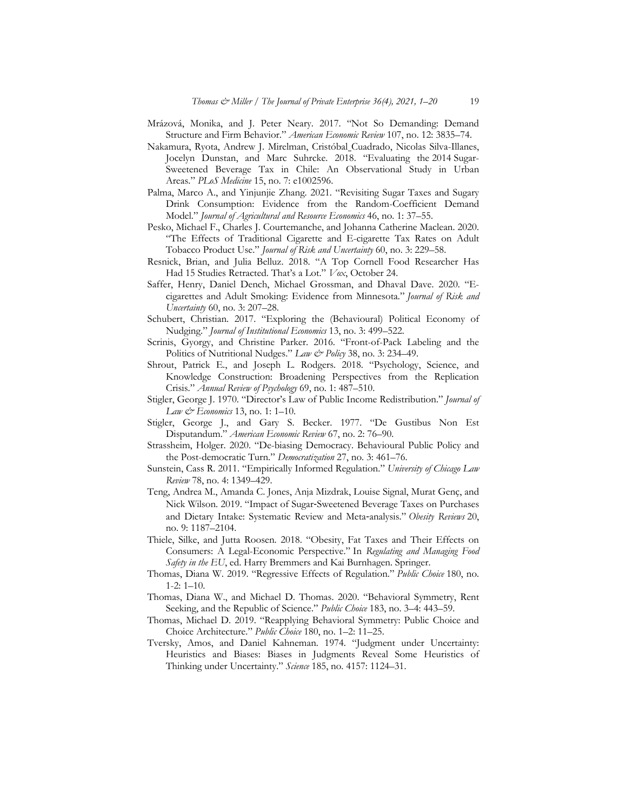- Mrázová, Monika, and J. Peter Neary. 2017. "Not So Demanding: Demand Structure and Firm Behavior." *American Economic Review* 107, no. 12: 3835–74.
- Nakamura, Ryota, Andrew J. Mirelman, Cristóbal Cuadrado, Nicolas Silva-Illanes, Jocelyn Dunstan, and Marc Suhrcke. 2018. "Evaluating the 2014 Sugar-Sweetened Beverage Tax in Chile: An Observational Study in Urban Areas." *PLoS Medicine* 15, no. 7: e1002596.
- Palma, Marco A., and Yinjunjie Zhang. 2021. "Revisiting Sugar Taxes and Sugary Drink Consumption: Evidence from the Random-Coefficient Demand Model." *Journal of Agricultural and Resource Economics* 46, no. 1: 37–55.
- Pesko, Michael F., Charles J. Courtemanche, and Johanna Catherine Maclean. 2020. "The Effects of Traditional Cigarette and E-cigarette Tax Rates on Adult Tobacco Product Use." *Journal of Risk and Uncertainty* 60, no. 3: 229–58.
- Resnick, Brian, and Julia Belluz. 2018. "A Top Cornell Food Researcher Has Had 15 Studies Retracted. That's a Lot." *Vox*, October 24.
- Saffer, Henry, Daniel Dench, Michael Grossman, and Dhaval Dave. 2020. "Ecigarettes and Adult Smoking: Evidence from Minnesota." *Journal of Risk and Uncertainty* 60, no. 3: 207–28.
- Schubert, Christian. 2017. "Exploring the (Behavioural) Political Economy of Nudging." *Journal of Institutional Economics* 13, no. 3: 499–522.
- Scrinis, Gyorgy, and Christine Parker. 2016. "Front-of-Pack Labeling and the Politics of Nutritional Nudges." *Law & Policy* 38, no. 3: 234–49.
- Shrout, Patrick E., and Joseph L. Rodgers. 2018. "Psychology, Science, and Knowledge Construction: Broadening Perspectives from the Replication Crisis." *Annual Review of Psychology* 69, no. 1: 487–510.
- Stigler, George J. 1970. "Director's Law of Public Income Redistribution." *Journal of Law & Economics* 13, no. 1: 1–10.
- Stigler, George J., and Gary S. Becker. 1977. "De Gustibus Non Est Disputandum." *American Economic Review* 67, no. 2: 76–90.
- Strassheim, Holger. 2020. "De-biasing Democracy. Behavioural Public Policy and the Post-democratic Turn." *Democratization* 27, no. 3: 461–76.
- Sunstein, Cass R. 2011. "Empirically Informed Regulation." *University of Chicago Law Review* 78, no. 4: 1349–429.
- Teng, Andrea M., Amanda C. Jones, Anja Mizdrak, Louise Signal, Murat Genç, and Nick Wilson. 2019. "Impact of Sugar-Sweetened Beverage Taxes on Purchases and Dietary Intake: Systematic Review and Meta-analysis." *Obesity Reviews* 20, no. 9: 1187–2104.
- Thiele, Silke, and Jutta Roosen. 2018. "Obesity, Fat Taxes and Their Effects on Consumers: A Legal-Economic Perspective." In *Regulating and Managing Food Safety in the EU*, ed. Harry Bremmers and Kai Burnhagen. Springer.
- Thomas, Diana W. 2019. "Regressive Effects of Regulation." *Public Choice* 180, no. 1-2: 1–10.
- Thomas, Diana W., and Michael D. Thomas. 2020. "Behavioral Symmetry, Rent Seeking, and the Republic of Science." *Public Choice* 183, no. 3–4: 443–59.
- Thomas, Michael D. 2019. "Reapplying Behavioral Symmetry: Public Choice and Choice Architecture." *Public Choice* 180, no. 1–2: 11–25.
- Tversky, Amos, and Daniel Kahneman. 1974. "Judgment under Uncertainty: Heuristics and Biases: Biases in Judgments Reveal Some Heuristics of Thinking under Uncertainty." *Science* 185, no. 4157: 1124–31.